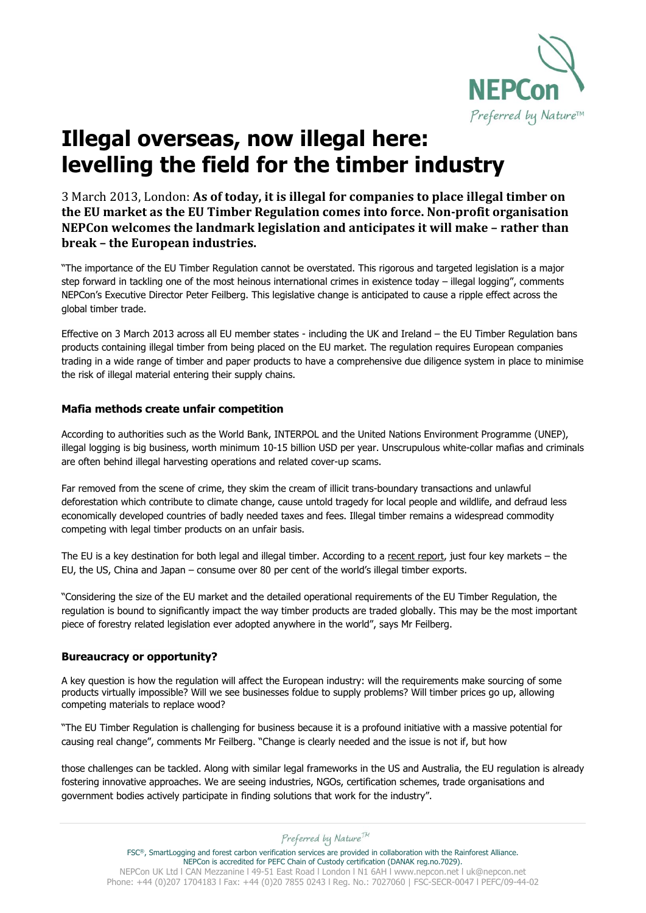

# **Illegal overseas, now illegal here: levelling the field for the timber industry**

3 March 2013, London: **As of today, it is illegal for companies to place illegal timber on the EU market as the EU Timber Regulation comes into force. Non-profit organisation NEPCon welcomes the landmark legislation and anticipates it will make – rather than break – the European industries.**

"The importance of the EU Timber Regulation cannot be overstated. This rigorous and targeted legislation is a major step forward in tackling one of the most heinous international crimes in existence today – illegal logging", comments NEPCon's Executive Director Peter Feilberg. This legislative change is anticipated to cause a ripple effect across the global timber trade.

Effective on 3 March 2013 across all EU member states - including the UK and Ireland – the EU Timber Regulation bans products containing illegal timber from being placed on the EU market. The regulation requires European companies trading in a wide range of timber and paper products to have a comprehensive due diligence system in place to minimise the risk of illegal material entering their supply chains.

# **Mafia methods create unfair competition**

According to authorities such as the World Bank, INTERPOL and the United Nations Environment Programme (UNEP), illegal logging is big business, worth minimum 10-15 billion USD per year. Unscrupulous white-collar mafias and criminals are often behind illegal harvesting operations and related cover-up scams.

Far removed from the scene of crime, they skim the cream of illicit trans-boundary transactions and unlawful deforestation which contribute to climate change, cause untold tragedy for local people and wildlife, and defraud less economically developed countries of badly needed taxes and fees. Illegal timber remains a widespread commodity competing with legal timber products on an unfair basis.

The EU is a key destination for both legal and illegal timber. According to a [recent report,](http://www.nepcon.net/5139/English/HOME/News_2012/October/Report_forest_crime_may_undercut_efforts_to_halt_climate_change/) just four key markets – the EU, the US, China and Japan – consume over 80 per cent of the world's illegal timber exports.

"Considering the size of the EU market and the detailed operational requirements of the EU Timber Regulation, the regulation is bound to significantly impact the way timber products are traded globally. This may be the most important piece of forestry related legislation ever adopted anywhere in the world", says Mr Feilberg.

# **Bureaucracy or opportunity?**

A key question is how the regulation will affect the European industry: will the requirements make sourcing of some products virtually impossible? Will we see businesses foldue to supply problems? Will timber prices go up, allowing competing materials to replace wood?

"The EU Timber Regulation is challenging for business because it is a profound initiative with a massive potential for causing real change", comments Mr Feilberg. "Change is clearly needed and the issue is not if, but how

those challenges can be tackled. Along with similar legal frameworks in the US and Australia, the EU regulation is already fostering innovative approaches. We are seeing industries, NGOs, certification schemes, trade organisations and government bodies actively participate in finding solutions that work for the industry".